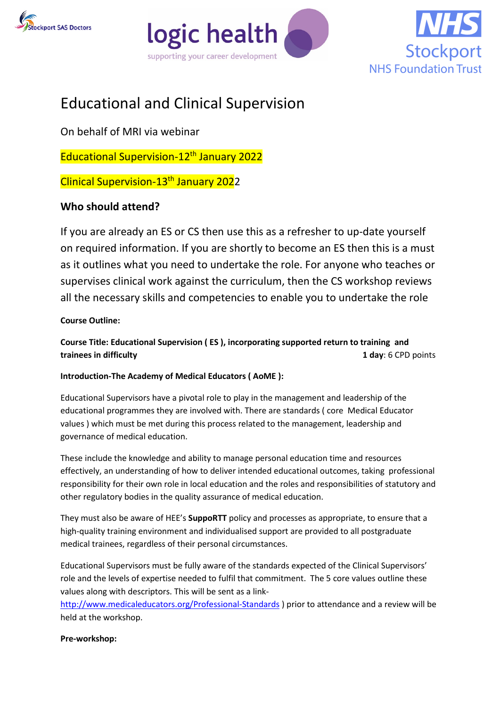





# Educational and Clinical Supervision

On behalf of MRI via webinar

Educational Supervision-12th January 2022

Clinical Supervision-13th January 2022

# **Who should attend?**

If you are already an ES or CS then use this as a refresher to up-date yourself on required information. If you are shortly to become an ES then this is a must as it outlines what you need to undertake the role. For anyone who teaches or supervises clinical work against the curriculum, then the CS workshop reviews all the necessary skills and competencies to enable you to undertake the role

**Course Outline:** 

**Course Title: Educational Supervision ( ES ), incorporating supported return to training and trainees in difficulty 1 day**: 6 CPD points

# **Introduction-The Academy of Medical Educators ( AoME ):**

Educational Supervisors have a pivotal role to play in the management and leadership of the educational programmes they are involved with. There are standards ( core Medical Educator values ) which must be met during this process related to the management, leadership and governance of medical education.

These include the knowledge and ability to manage personal education time and resources effectively, an understanding of how to deliver intended educational outcomes, taking professional responsibility for their own role in local education and the roles and responsibilities of statutory and other regulatory bodies in the quality assurance of medical education.

They must also be aware of HEE's **SuppoRTT** policy and processes as appropriate, to ensure that a high-quality training environment and individualised support are provided to all postgraduate medical trainees, regardless of their personal circumstances.

Educational Supervisors must be fully aware of the standards expected of the Clinical Supervisors' role and the levels of expertise needed to fulfil that commitment. The 5 core values outline these values along with descriptors. This will be sent as a link-

<http://www.medicaleducators.org/Professional-Standards> ) prior to attendance and a review will be held at the workshop.

# **Pre-workshop:**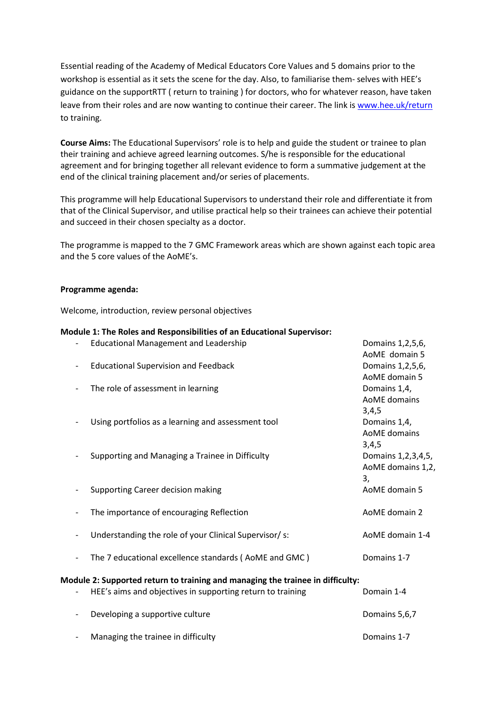Essential reading of the Academy of Medical Educators Core Values and 5 domains prior to the workshop is essential as it sets the scene for the day. Also, to familiarise them- selves with HEE's guidance on the supportRTT ( return to training ) for doctors, who for whatever reason, have taken leave from their roles and are now wanting to continue their career. The link is [www.hee.uk/return](http://www.hee.uk/return) to training.

**Course Aims:** The Educational Supervisors' role is to help and guide the student or trainee to plan their training and achieve agreed learning outcomes. S/he is responsible for the educational agreement and for bringing together all relevant evidence to form a summative judgement at the end of the clinical training placement and/or series of placements.

This programme will help Educational Supervisors to understand their role and differentiate it from that of the Clinical Supervisor, and utilise practical help so their trainees can achieve their potential and succeed in their chosen specialty as a doctor.

The programme is mapped to the 7 GMC Framework areas which are shown against each topic area and the 5 core values of the AoME's.

#### **Programme agenda:**

Welcome, introduction, review personal objectives

#### **Module 1: The Roles and Responsibilities of an Educational Supervisor:**

|  | <b>Educational Management and Leadership</b>                                   | Domains 1, 2, 5, 6,    |
|--|--------------------------------------------------------------------------------|------------------------|
|  |                                                                                | AoME domain 5          |
|  | <b>Educational Supervision and Feedback</b>                                    | Domains 1, 2, 5, 6,    |
|  |                                                                                | AoME domain 5          |
|  | The role of assessment in learning                                             | Domains 1,4,           |
|  |                                                                                | AoME domains           |
|  |                                                                                | 3,4,5                  |
|  | Using portfolios as a learning and assessment tool                             | Domains 1,4,           |
|  |                                                                                | AoME domains           |
|  |                                                                                | 3,4,5                  |
|  | Supporting and Managing a Trainee in Difficulty                                | Domains 1, 2, 3, 4, 5, |
|  |                                                                                | AoME domains 1,2,      |
|  |                                                                                | 3,                     |
|  | Supporting Career decision making                                              | AoME domain 5          |
|  |                                                                                |                        |
|  | The importance of encouraging Reflection                                       | AoME domain 2          |
|  |                                                                                |                        |
|  | Understanding the role of your Clinical Supervisor/ s:                         | AoME domain 1-4        |
|  | The 7 educational excellence standards (AoME and GMC)                          | Domains 1-7            |
|  |                                                                                |                        |
|  | Module 2: Supported return to training and managing the trainee in difficulty: |                        |
|  | HEE's aims and objectives in supporting return to training                     | Domain 1-4             |
|  |                                                                                |                        |
|  | Developing a supportive culture                                                | Domains 5,6,7          |
|  |                                                                                |                        |
|  | Managing the trainee in difficulty                                             | Domains 1-7            |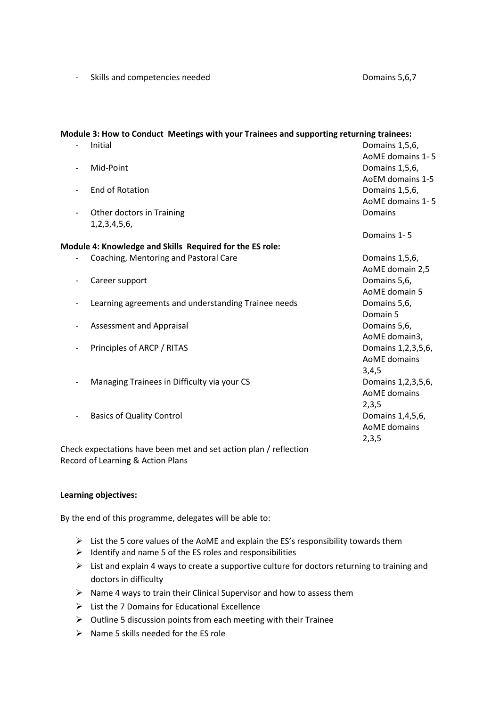- Skills and competencies needed Domains 5,6,7

# **Module 3: How to Conduct Meetings with your Trainees and supporting returning trainees:**

| Initial                                                           | Domains 1,5,6,         |
|-------------------------------------------------------------------|------------------------|
|                                                                   | AoME domains 1-5       |
| Mid-Point                                                         | Domains 1,5,6,         |
|                                                                   | AoEM domains 1-5       |
| <b>End of Rotation</b>                                            | Domains 1,5,6,         |
|                                                                   | AoME domains 1-5       |
| Other doctors in Training                                         | Domains                |
| 1,2,3,4,5,6,                                                      |                        |
|                                                                   | Domains 1-5            |
| Module 4: Knowledge and Skills Required for the ES role:          |                        |
| Coaching, Mentoring and Pastoral Care                             | Domains 1,5,6,         |
|                                                                   | AoME domain 2,5        |
| Career support                                                    | Domains 5,6,           |
|                                                                   | AoME domain 5          |
| Learning agreements and understanding Trainee needs               | Domains 5,6,           |
|                                                                   | Domain 5               |
| Assessment and Appraisal                                          | Domains 5,6,           |
|                                                                   | AoME domain3,          |
| Principles of ARCP / RITAS                                        | Domains 1, 2, 3, 5, 6, |
|                                                                   | AoME domains           |
|                                                                   | 3,4,5                  |
| Managing Trainees in Difficulty via your CS                       | Domains 1,2,3,5,6,     |
|                                                                   | AoME domains           |
|                                                                   | 2,3,5                  |
| <b>Basics of Quality Control</b>                                  | Domains 1,4,5,6,       |
|                                                                   | AoME domains           |
|                                                                   | 2,3,5                  |
| Check expectations have been met and set action plan / reflection |                        |
|                                                                   |                        |

**Learning objectives:**

Record of Learning & Action Plans

By the end of this programme, delegates will be able to:

- $\triangleright$  List the 5 core values of the AoME and explain the ES's responsibility towards them
- $\triangleright$  Identify and name 5 of the ES roles and responsibilities
- $\triangleright$  List and explain 4 ways to create a supportive culture for doctors returning to training and doctors in difficulty
- $\triangleright$  Name 4 ways to train their Clinical Supervisor and how to assess them
- $\triangleright$  List the 7 Domains for Educational Excellence
- $\triangleright$  Outline 5 discussion points from each meeting with their Trainee
- $\triangleright$  Name 5 skills needed for the ES role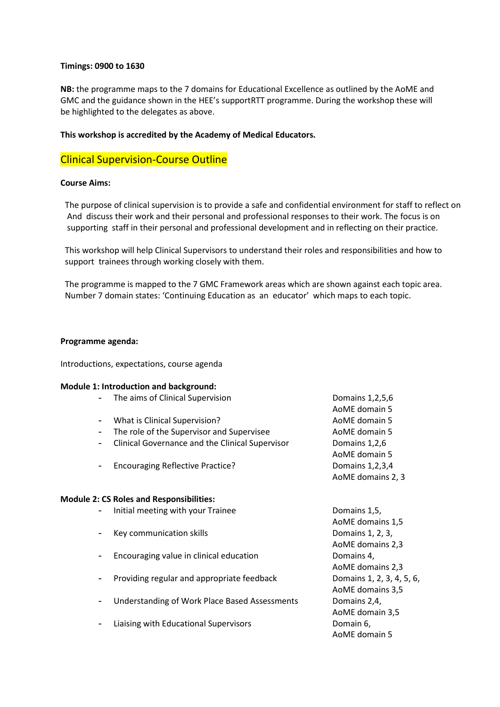#### **Timings: 0900 to 1630**

**NB:** the programme maps to the 7 domains for Educational Excellence as outlined by the AoME and GMC and the guidance shown in the HEE's supportRTT programme. During the workshop these will be highlighted to the delegates as above.

#### **This workshop is accredited by the Academy of Medical Educators.**

### Clinical Supervision-Course Outline

#### **Course Aims:**

The purpose of clinical supervision is to provide a safe and confidential environment for staff to reflect on And discuss their work and their personal and professional responses to their work. The focus is on supporting staff in their personal and professional development and in reflecting on their practice.

This workshop will help Clinical Supervisors to understand their roles and responsibilities and how to support trainees through working closely with them.

The programme is mapped to the 7 GMC Framework areas which are shown against each topic area. Number 7 domain states: 'Continuing Education as an educator' which maps to each topic.

#### **Programme agenda:**

Introductions, expectations, course agenda

#### **Module 1: Introduction and background:**

| The aims of Clinical Supervision                | Domains 1,2,5,6    |
|-------------------------------------------------|--------------------|
|                                                 | AoME domain 5      |
| What is Clinical Supervision?                   | AoME domain 5      |
| The role of the Supervisor and Supervisee       | AoME domain 5      |
| Clinical Governance and the Clinical Supervisor | Domains 1,2,6      |
|                                                 | AoME domain 5      |
| <b>Encouraging Reflective Practice?</b>         | Domains 1, 2, 3, 4 |
|                                                 | AoME domains 2, 3  |
|                                                 |                    |

#### **Module 2: CS Roles and Responsibilities:**

- Initial meeting with your Trainee **Domains 1,5**,
- Key communication skills **Example 20** Somains 1, 2, 3,
- Encouraging value in clinical education **Election** Domains 4,
- Providing regular and appropriate feedback Domains 1, 2, 3, 4, 5, 6,
- Understanding of Work Place Based Assessments Domains 2,4,
- Liaising with Educational Supervisors **Example 20** Domain 6,

AoME domains 1,5 AoME domains 2,3 AoME domains 2,3 AoME domains 3,5 AoME domain 3,5 AoME domain 5